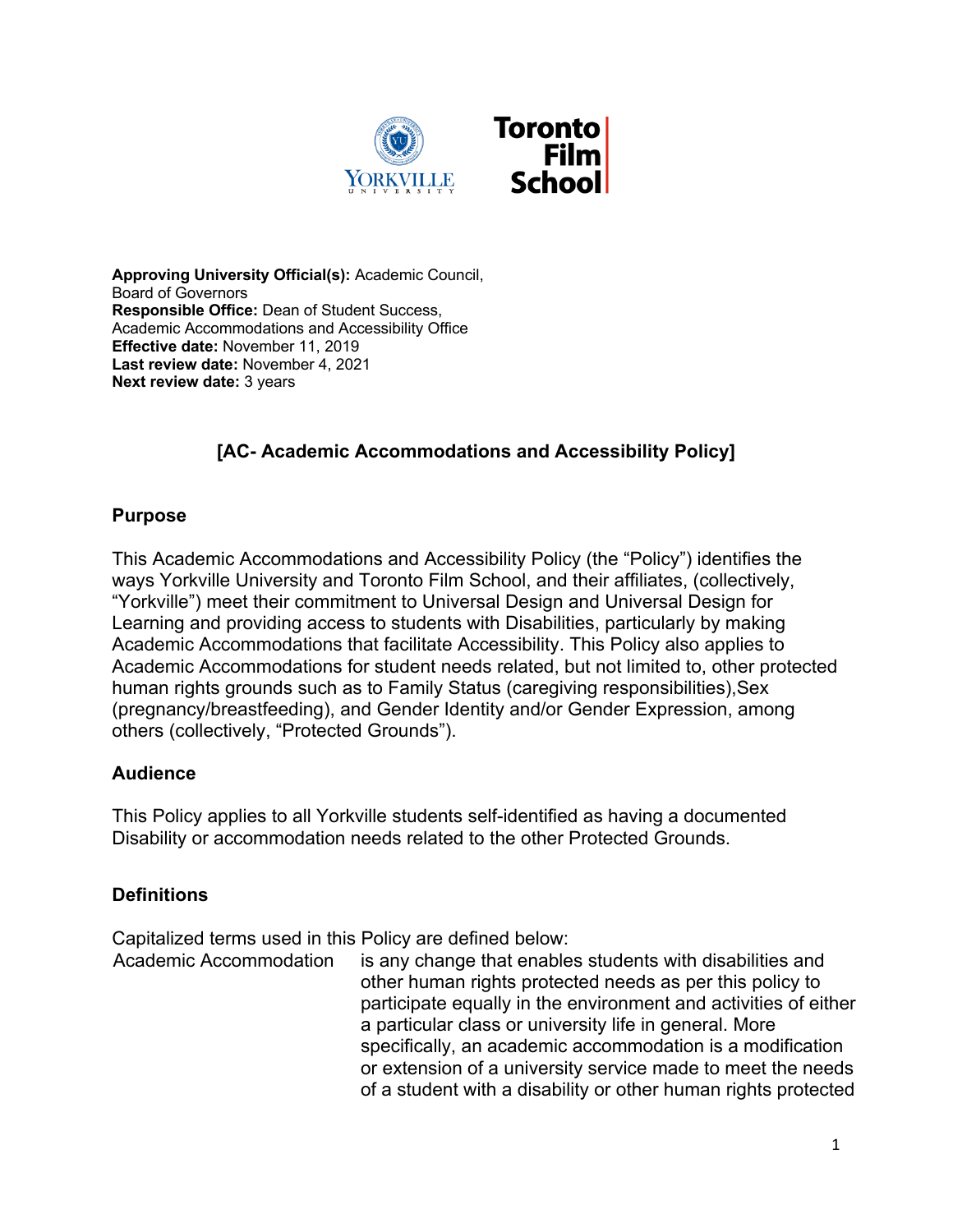

**Approving University Official(s):** Academic Council, Board of Governors **Responsible Office:** Dean of Student Success, Academic Accommodations and Accessibility Office **Effective date:** November 11, 2019 **Last review date:** November 4, 2021 **Next review date:** 3 years

# **[AC- Academic Accommodations and Accessibility Policy]**

### **Purpose**

This Academic Accommodations and Accessibility Policy (the "Policy") identifies the ways Yorkville University and Toronto Film School, and their affiliates, (collectively, "Yorkville") meet their commitment to Universal Design and Universal Design for Learning and providing access to students with Disabilities, particularly by making Academic Accommodations that facilitate Accessibility. This Policy also applies to Academic Accommodations for student needs related, but not limited to, other protected human rights grounds such as to Family Status (caregiving responsibilities),Sex (pregnancy/breastfeeding), and Gender Identity and/or Gender Expression, among others (collectively, "Protected Grounds").

### **Audience**

This Policy applies to all Yorkville students self-identified as having a documented Disability or accommodation needs related to the other Protected Grounds.

### **Definitions**

Capitalized terms used in this Policy are defined below:

Academic Accommodation is any change that enables students with disabilities and other human rights protected needs as per this policy to participate equally in the environment and activities of either a particular class or university life in general. More specifically, an academic accommodation is a modification or extension of a university service made to meet the needs of a student with a disability or other human rights protected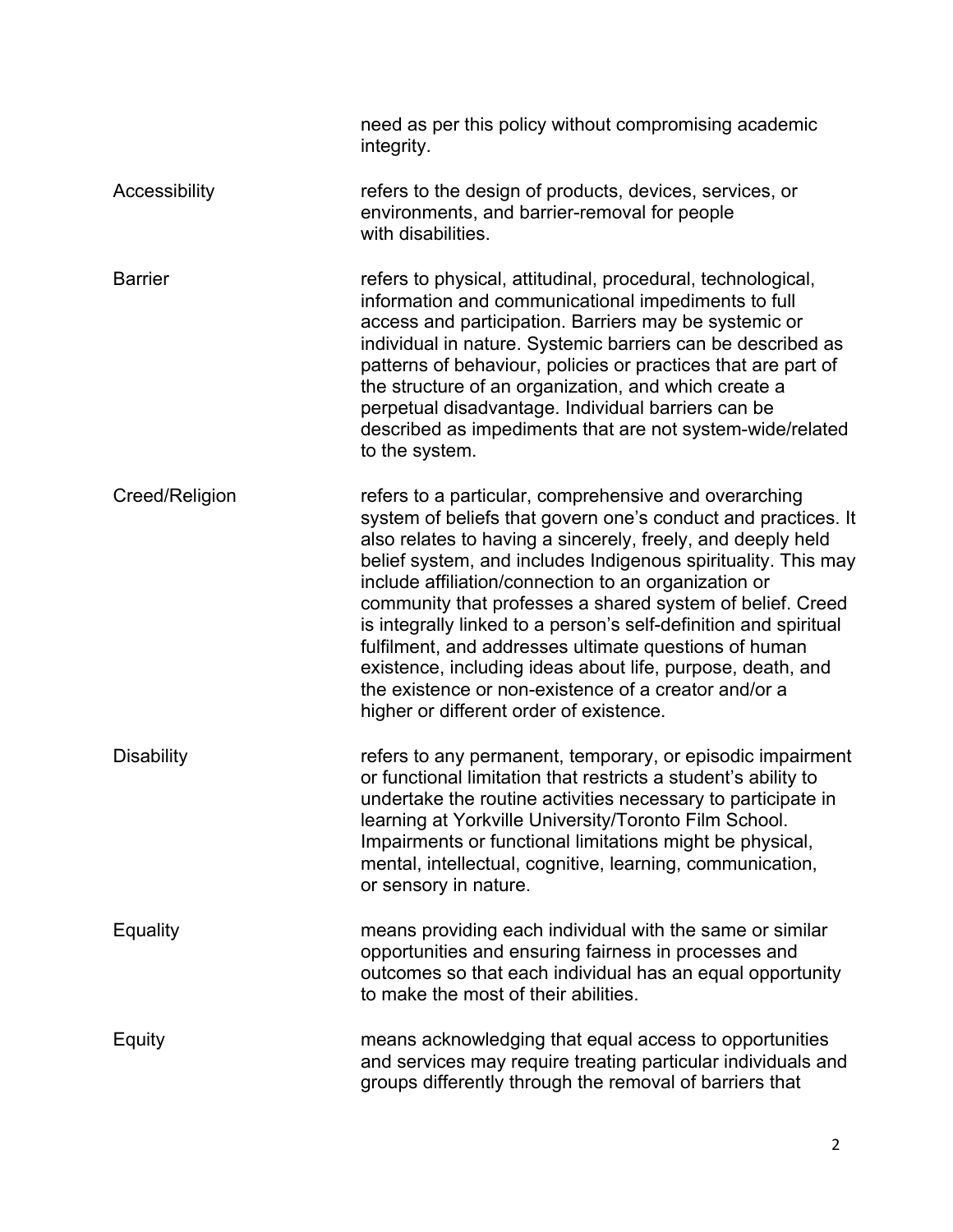|                   | need as per this policy without compromising academic<br>integrity.                                                                                                                                                                                                                                                                                                                                                                                                                                                                                                                                                                                                       |
|-------------------|---------------------------------------------------------------------------------------------------------------------------------------------------------------------------------------------------------------------------------------------------------------------------------------------------------------------------------------------------------------------------------------------------------------------------------------------------------------------------------------------------------------------------------------------------------------------------------------------------------------------------------------------------------------------------|
| Accessibility     | refers to the design of products, devices, services, or<br>environments, and barrier-removal for people<br>with disabilities.                                                                                                                                                                                                                                                                                                                                                                                                                                                                                                                                             |
| <b>Barrier</b>    | refers to physical, attitudinal, procedural, technological,<br>information and communicational impediments to full<br>access and participation. Barriers may be systemic or<br>individual in nature. Systemic barriers can be described as<br>patterns of behaviour, policies or practices that are part of<br>the structure of an organization, and which create a<br>perpetual disadvantage. Individual barriers can be<br>described as impediments that are not system-wide/related<br>to the system.                                                                                                                                                                  |
| Creed/Religion    | refers to a particular, comprehensive and overarching<br>system of beliefs that govern one's conduct and practices. It<br>also relates to having a sincerely, freely, and deeply held<br>belief system, and includes Indigenous spirituality. This may<br>include affiliation/connection to an organization or<br>community that professes a shared system of belief. Creed<br>is integrally linked to a person's self-definition and spiritual<br>fulfilment, and addresses ultimate questions of human<br>existence, including ideas about life, purpose, death, and<br>the existence or non-existence of a creator and/or a<br>higher or different order of existence. |
| <b>Disability</b> | refers to any permanent, temporary, or episodic impairment<br>or functional limitation that restricts a student's ability to<br>undertake the routine activities necessary to participate in<br>learning at Yorkville University/Toronto Film School.<br>Impairments or functional limitations might be physical,<br>mental, intellectual, cognitive, learning, communication,<br>or sensory in nature.                                                                                                                                                                                                                                                                   |
| Equality          | means providing each individual with the same or similar<br>opportunities and ensuring fairness in processes and<br>outcomes so that each individual has an equal opportunity<br>to make the most of their abilities.                                                                                                                                                                                                                                                                                                                                                                                                                                                     |
| Equity            | means acknowledging that equal access to opportunities<br>and services may require treating particular individuals and<br>groups differently through the removal of barriers that                                                                                                                                                                                                                                                                                                                                                                                                                                                                                         |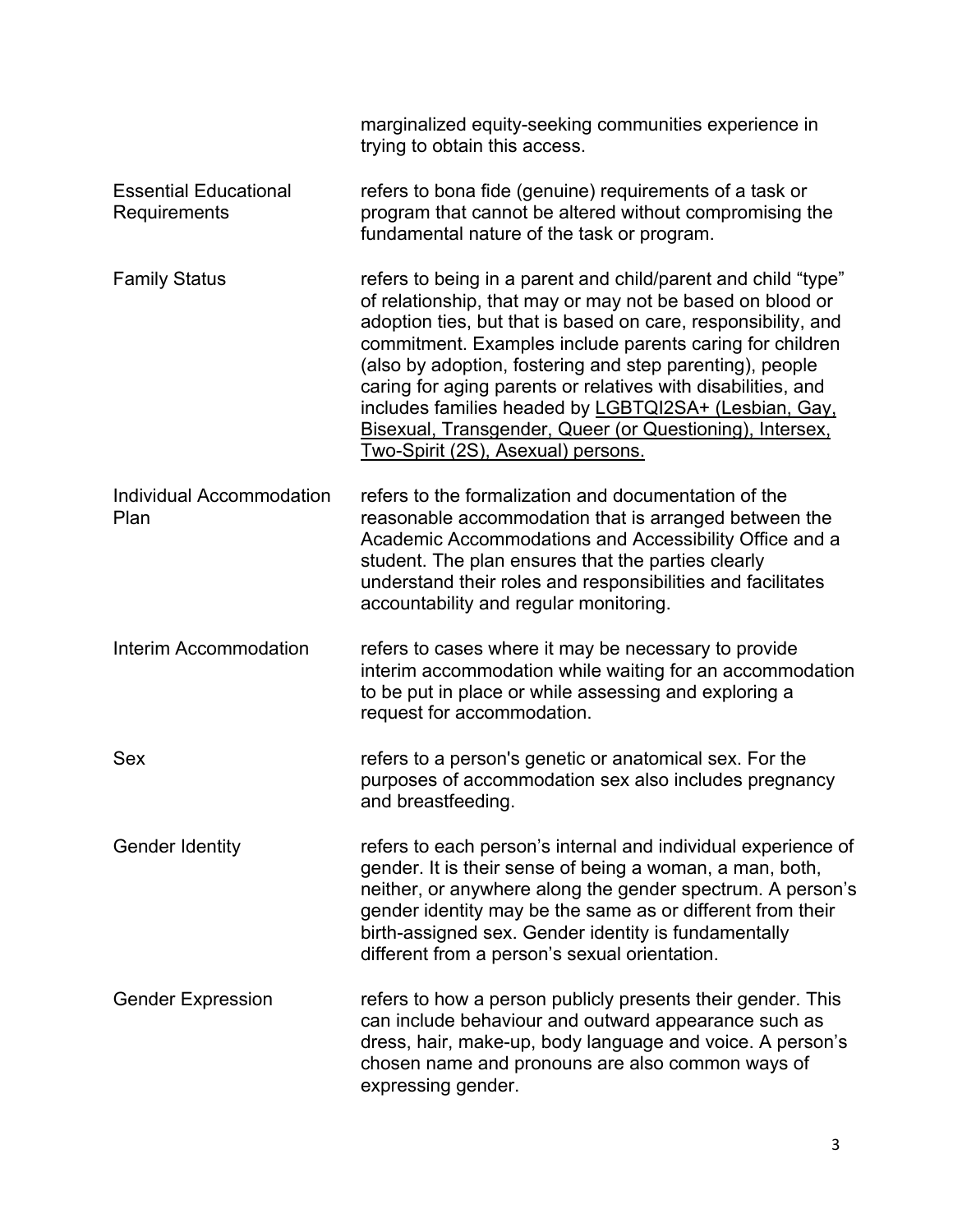|                                              | marginalized equity-seeking communities experience in<br>trying to obtain this access.                                                                                                                                                                                                                                                                                                                                                                                                                                                         |
|----------------------------------------------|------------------------------------------------------------------------------------------------------------------------------------------------------------------------------------------------------------------------------------------------------------------------------------------------------------------------------------------------------------------------------------------------------------------------------------------------------------------------------------------------------------------------------------------------|
| <b>Essential Educational</b><br>Requirements | refers to bona fide (genuine) requirements of a task or<br>program that cannot be altered without compromising the<br>fundamental nature of the task or program.                                                                                                                                                                                                                                                                                                                                                                               |
| <b>Family Status</b>                         | refers to being in a parent and child/parent and child "type"<br>of relationship, that may or may not be based on blood or<br>adoption ties, but that is based on care, responsibility, and<br>commitment. Examples include parents caring for children<br>(also by adoption, fostering and step parenting), people<br>caring for aging parents or relatives with disabilities, and<br>includes families headed by LGBTQI2SA+ (Lesbian, Gay,<br>Bisexual, Transgender, Queer (or Questioning), Intersex.<br>Two-Spirit (2S), Asexual) persons. |
| Individual Accommodation<br>Plan             | refers to the formalization and documentation of the<br>reasonable accommodation that is arranged between the<br>Academic Accommodations and Accessibility Office and a<br>student. The plan ensures that the parties clearly<br>understand their roles and responsibilities and facilitates<br>accountability and regular monitoring.                                                                                                                                                                                                         |
| Interim Accommodation                        | refers to cases where it may be necessary to provide<br>interim accommodation while waiting for an accommodation<br>to be put in place or while assessing and exploring a<br>request for accommodation.                                                                                                                                                                                                                                                                                                                                        |
| Sex                                          | refers to a person's genetic or anatomical sex. For the<br>purposes of accommodation sex also includes pregnancy<br>and breastfeeding.                                                                                                                                                                                                                                                                                                                                                                                                         |
| <b>Gender Identity</b>                       | refers to each person's internal and individual experience of<br>gender. It is their sense of being a woman, a man, both,<br>neither, or anywhere along the gender spectrum. A person's<br>gender identity may be the same as or different from their<br>birth-assigned sex. Gender identity is fundamentally<br>different from a person's sexual orientation.                                                                                                                                                                                 |
| <b>Gender Expression</b>                     | refers to how a person publicly presents their gender. This<br>can include behaviour and outward appearance such as<br>dress, hair, make-up, body language and voice. A person's<br>chosen name and pronouns are also common ways of<br>expressing gender.                                                                                                                                                                                                                                                                                     |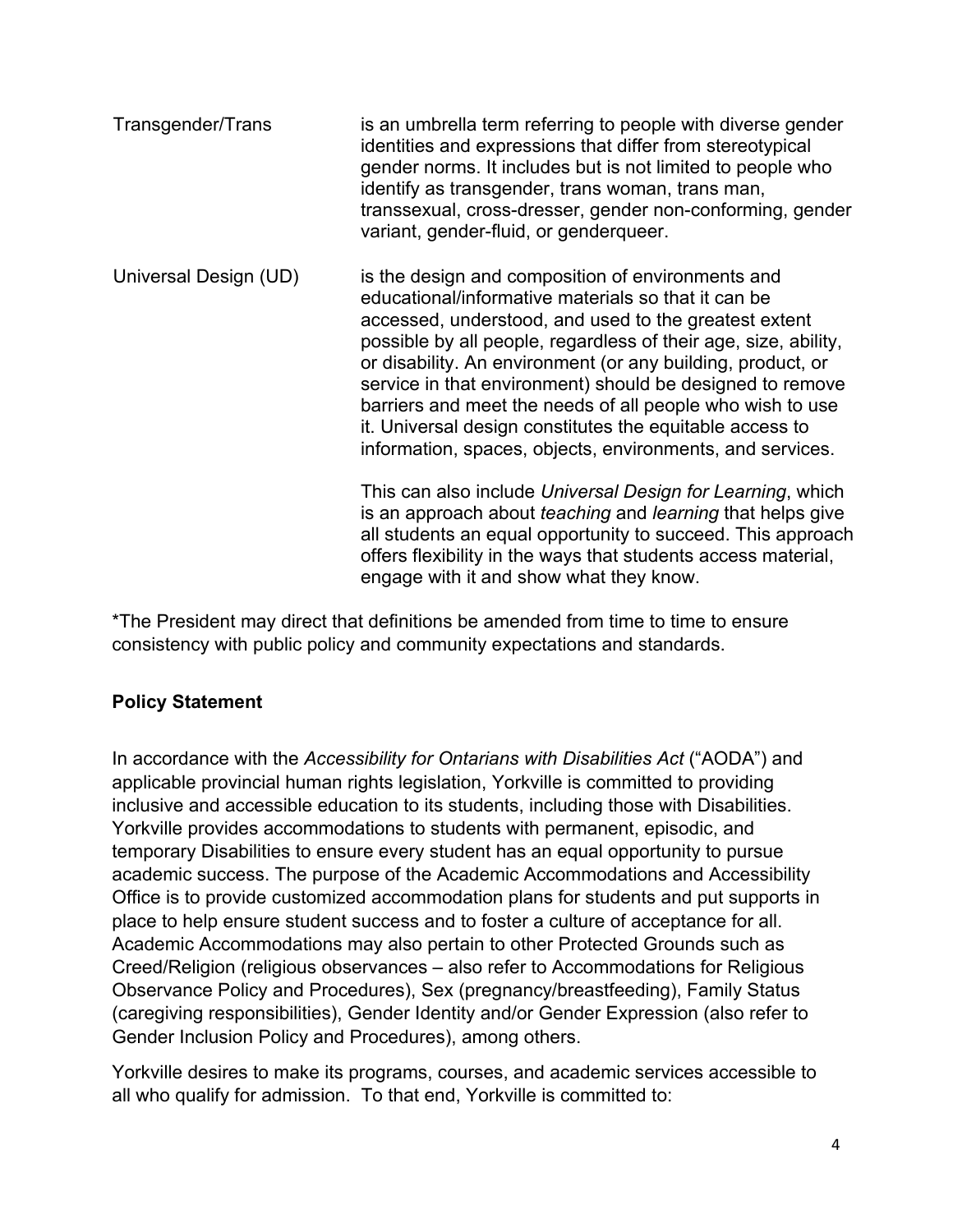| Transgender/Trans     | is an umbrella term referring to people with diverse gender<br>identities and expressions that differ from stereotypical<br>gender norms. It includes but is not limited to people who<br>identify as transgender, trans woman, trans man,<br>transsexual, cross-dresser, gender non-conforming, gender<br>variant, gender-fluid, or genderqueer.                                                                                                                                                                                                      |
|-----------------------|--------------------------------------------------------------------------------------------------------------------------------------------------------------------------------------------------------------------------------------------------------------------------------------------------------------------------------------------------------------------------------------------------------------------------------------------------------------------------------------------------------------------------------------------------------|
| Universal Design (UD) | is the design and composition of environments and<br>educational/informative materials so that it can be<br>accessed, understood, and used to the greatest extent<br>possible by all people, regardless of their age, size, ability,<br>or disability. An environment (or any building, product, or<br>service in that environment) should be designed to remove<br>barriers and meet the needs of all people who wish to use<br>it. Universal design constitutes the equitable access to<br>information, spaces, objects, environments, and services. |
|                       | This can also include Universal Design for Learning, which<br>is an approach about teaching and learning that helps give<br>all students an equal opportunity to succeed. This approach<br>offers flexibility in the ways that students access material,                                                                                                                                                                                                                                                                                               |

\*The President may direct that definitions be amended from time to time to ensure consistency with public policy and community expectations and standards.

engage with it and show what they know.

### **Policy Statement**

In accordance with the *Accessibility for Ontarians with Disabilities Act* ("AODA") and applicable provincial human rights legislation, Yorkville is committed to providing inclusive and accessible education to its students, including those with Disabilities. Yorkville provides accommodations to students with permanent, episodic, and temporary Disabilities to ensure every student has an equal opportunity to pursue academic success. The purpose of the Academic Accommodations and Accessibility Office is to provide customized accommodation plans for students and put supports in place to help ensure student success and to foster a culture of acceptance for all. Academic Accommodations may also pertain to other Protected Grounds such as Creed/Religion (religious observances – also refer to Accommodations for Religious Observance Policy and Procedures), Sex (pregnancy/breastfeeding), Family Status (caregiving responsibilities), Gender Identity and/or Gender Expression (also refer to Gender Inclusion Policy and Procedures), among others.

Yorkville desires to make its programs, courses, and academic services accessible to all who qualify for admission. To that end, Yorkville is committed to: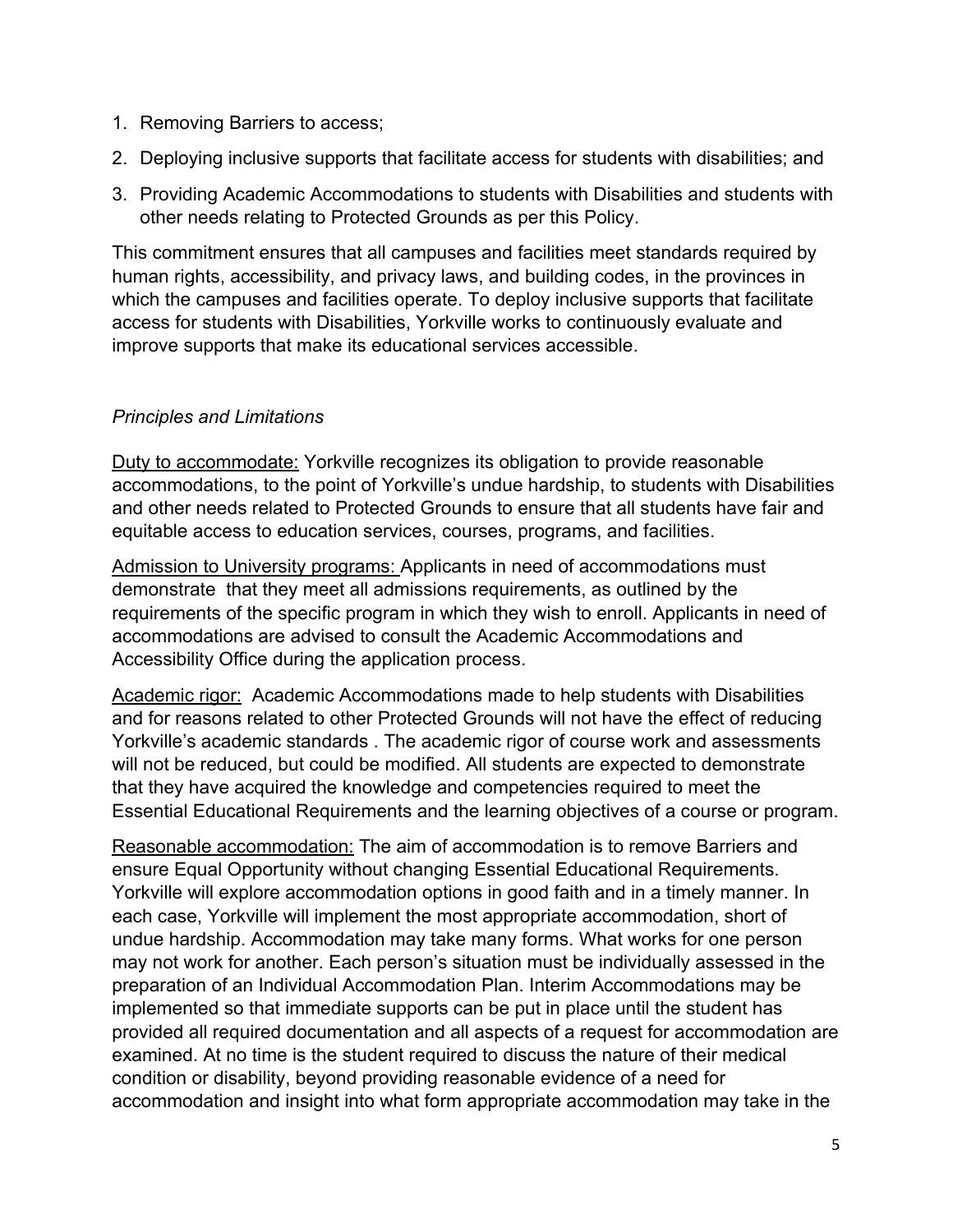- 1. Removing Barriers to access;
- 2. Deploying inclusive supports that facilitate access for students with disabilities; and
- 3. Providing Academic Accommodations to students with Disabilities and students with other needs relating to Protected Grounds as per this Policy.

This commitment ensures that all campuses and facilities meet standards required by human rights, accessibility, and privacy laws, and building codes, in the provinces in which the campuses and facilities operate. To deploy inclusive supports that facilitate access for students with Disabilities, Yorkville works to continuously evaluate and improve supports that make its educational services accessible.

## *Principles and Limitations*

Duty to accommodate: Yorkville recognizes its obligation to provide reasonable accommodations, to the point of Yorkville's undue hardship, to students with Disabilities and other needs related to Protected Grounds to ensure that all students have fair and equitable access to education services, courses, programs, and facilities.

Admission to University programs: Applicants in need of accommodations must demonstrate that they meet all admissions requirements, as outlined by the requirements of the specific program in which they wish to enroll. Applicants in need of accommodations are advised to consult the Academic Accommodations and Accessibility Office during the application process.

Academic rigor: Academic Accommodations made to help students with Disabilities and for reasons related to other Protected Grounds will not have the effect of reducing Yorkville's academic standards . The academic rigor of course work and assessments will not be reduced, but could be modified. All students are expected to demonstrate that they have acquired the knowledge and competencies required to meet the Essential Educational Requirements and the learning objectives of a course or program.

Reasonable accommodation: The aim of accommodation is to remove Barriers and ensure Equal Opportunity without changing Essential Educational Requirements. Yorkville will explore accommodation options in good faith and in a timely manner. In each case, Yorkville will implement the most appropriate accommodation, short of undue hardship. Accommodation may take many forms. What works for one person may not work for another. Each person's situation must be individually assessed in the preparation of an Individual Accommodation Plan. Interim Accommodations may be implemented so that immediate supports can be put in place until the student has provided all required documentation and all aspects of a request for accommodation are examined. At no time is the student required to discuss the nature of their medical condition or disability, beyond providing reasonable evidence of a need for accommodation and insight into what form appropriate accommodation may take in the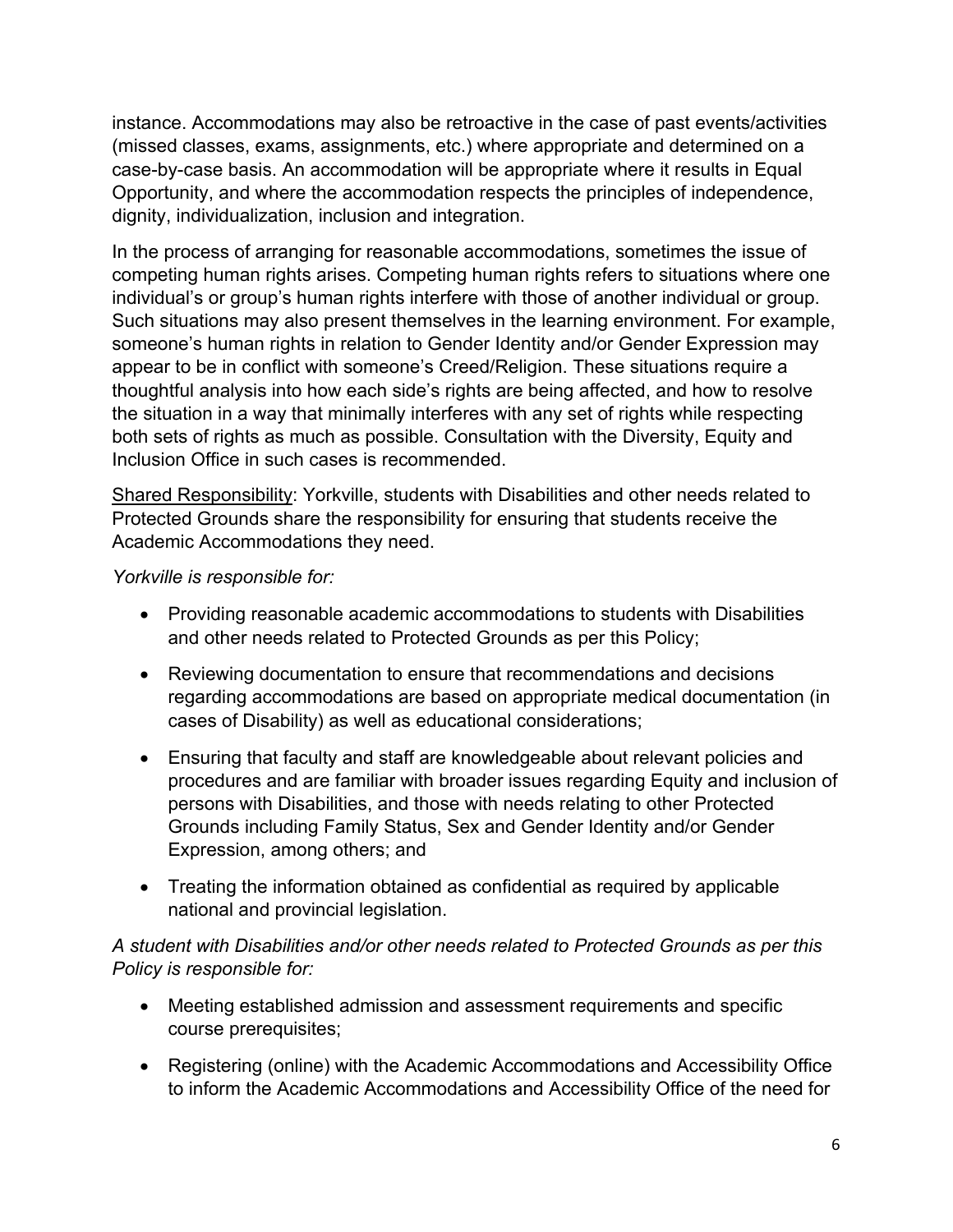instance. Accommodations may also be retroactive in the case of past events/activities (missed classes, exams, assignments, etc.) where appropriate and determined on a case-by-case basis. An accommodation will be appropriate where it results in Equal Opportunity, and where the accommodation respects the principles of independence, dignity, individualization, inclusion and integration.

In the process of arranging for reasonable accommodations, sometimes the issue of competing human rights arises. Competing human rights refers to situations where one individual's or group's human rights interfere with those of another individual or group. Such situations may also present themselves in the learning environment. For example, someone's human rights in relation to Gender Identity and/or Gender Expression may appear to be in conflict with someone's Creed/Religion. These situations require a thoughtful analysis into how each side's rights are being affected, and how to resolve the situation in a way that minimally interferes with any set of rights while respecting both sets of rights as much as possible. Consultation with the Diversity, Equity and Inclusion Office in such cases is recommended.

Shared Responsibility: Yorkville, students with Disabilities and other needs related to Protected Grounds share the responsibility for ensuring that students receive the Academic Accommodations they need.

*Yorkville is responsible for:* 

- Providing reasonable academic accommodations to students with Disabilities and other needs related to Protected Grounds as per this Policy;
- Reviewing documentation to ensure that recommendations and decisions regarding accommodations are based on appropriate medical documentation (in cases of Disability) as well as educational considerations;
- Ensuring that faculty and staff are knowledgeable about relevant policies and procedures and are familiar with broader issues regarding Equity and inclusion of persons with Disabilities, and those with needs relating to other Protected Grounds including Family Status, Sex and Gender Identity and/or Gender Expression, among others; and
- Treating the information obtained as confidential as required by applicable national and provincial legislation.

### *A student with Disabilities and/or other needs related to Protected Grounds as per this Policy is responsible for:*

- Meeting established admission and assessment requirements and specific course prerequisites;
- Registering (online) with the Academic Accommodations and Accessibility Office to inform the Academic Accommodations and Accessibility Office of the need for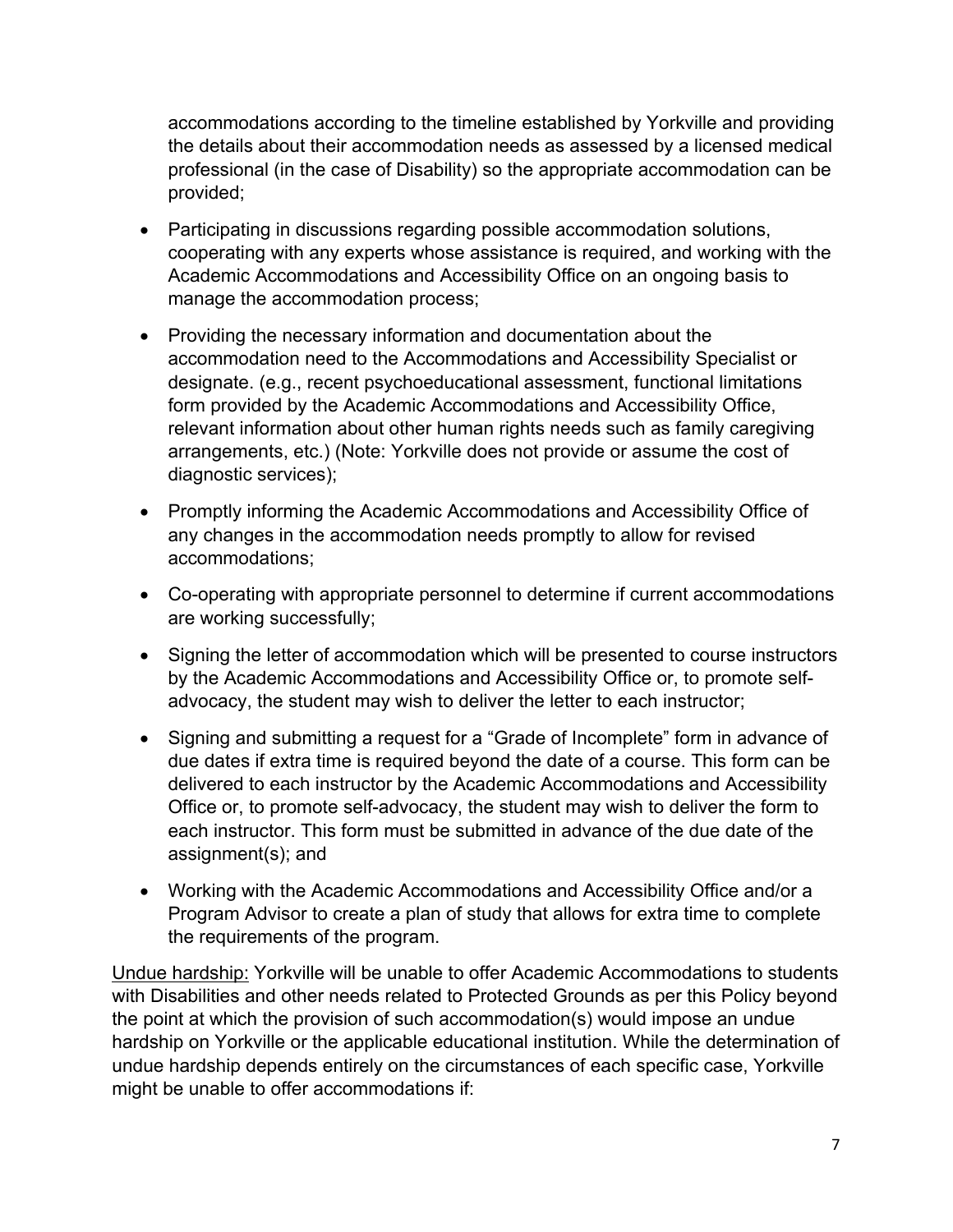accommodations according to the timeline established by Yorkville and providing the details about their accommodation needs as assessed by a licensed medical professional (in the case of Disability) so the appropriate accommodation can be provided;

- Participating in discussions regarding possible accommodation solutions, cooperating with any experts whose assistance is required, and working with the Academic Accommodations and Accessibility Office on an ongoing basis to manage the accommodation process;
- Providing the necessary information and documentation about the accommodation need to the Accommodations and Accessibility Specialist or designate. (e.g., recent psychoeducational assessment, functional limitations form provided by the Academic Accommodations and Accessibility Office, relevant information about other human rights needs such as family caregiving arrangements, etc.) (Note: Yorkville does not provide or assume the cost of diagnostic services);
- Promptly informing the Academic Accommodations and Accessibility Office of any changes in the accommodation needs promptly to allow for revised accommodations;
- Co-operating with appropriate personnel to determine if current accommodations are working successfully;
- Signing the letter of accommodation which will be presented to course instructors by the Academic Accommodations and Accessibility Office or, to promote selfadvocacy, the student may wish to deliver the letter to each instructor;
- Signing and submitting a request for a "Grade of Incomplete" form in advance of due dates if extra time is required beyond the date of a course. This form can be delivered to each instructor by the Academic Accommodations and Accessibility Office or, to promote self-advocacy, the student may wish to deliver the form to each instructor. This form must be submitted in advance of the due date of the assignment(s); and
- Working with the Academic Accommodations and Accessibility Office and/or a Program Advisor to create a plan of study that allows for extra time to complete the requirements of the program.

Undue hardship: Yorkville will be unable to offer Academic Accommodations to students with Disabilities and other needs related to Protected Grounds as per this Policy beyond the point at which the provision of such accommodation(s) would impose an undue hardship on Yorkville or the applicable educational institution. While the determination of undue hardship depends entirely on the circumstances of each specific case, Yorkville might be unable to offer accommodations if: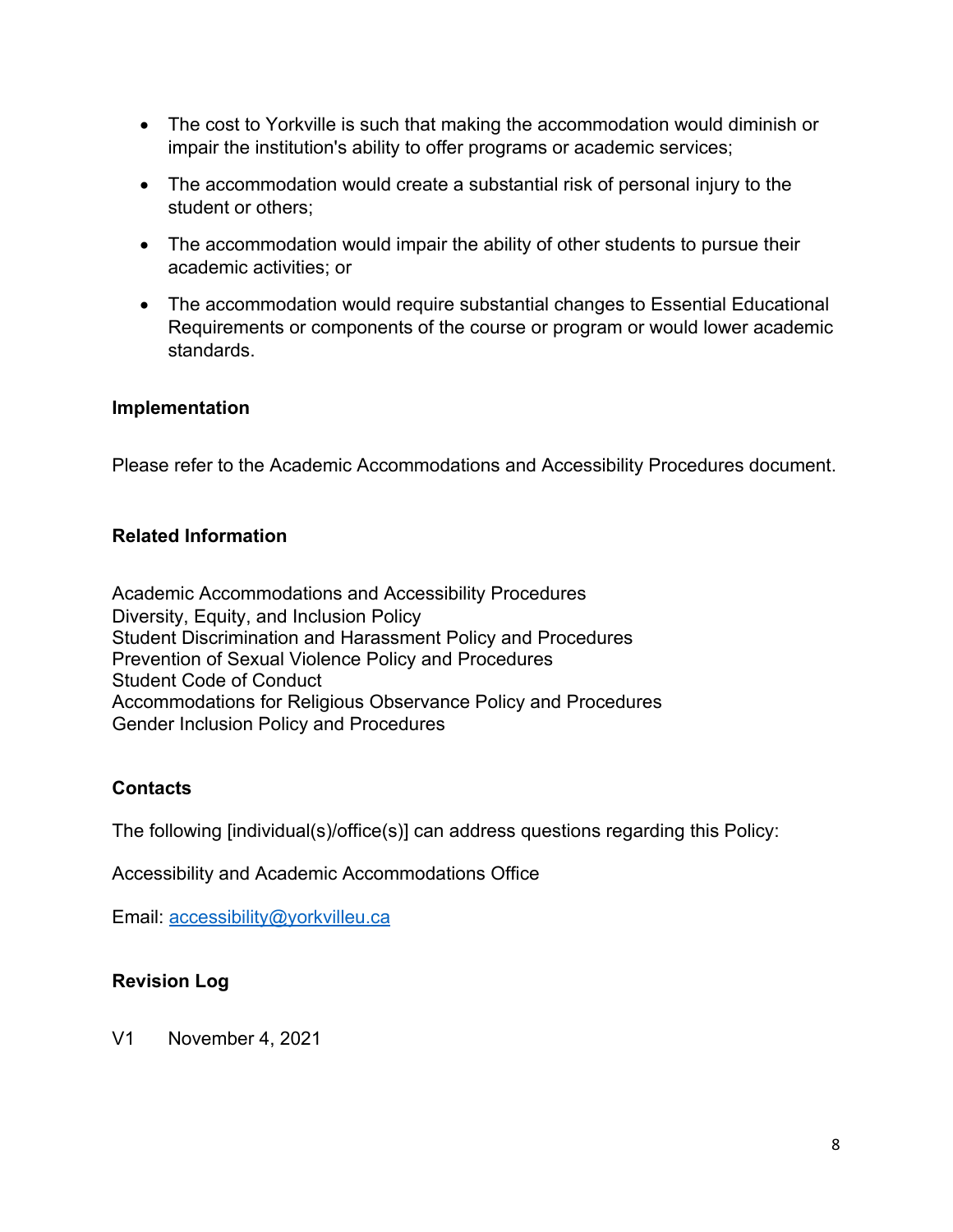- The cost to Yorkville is such that making the accommodation would diminish or impair the institution's ability to offer programs or academic services;
- The accommodation would create a substantial risk of personal injury to the student or others;
- The accommodation would impair the ability of other students to pursue their academic activities; or
- The accommodation would require substantial changes to Essential Educational Requirements or components of the course or program or would lower academic standards.

#### **Implementation**

Please refer to the Academic Accommodations and Accessibility Procedures document.

#### **Related Information**

Academic Accommodations and Accessibility Procedures Diversity, Equity, and Inclusion Policy Student Discrimination and Harassment Policy and Procedures Prevention of Sexual Violence Policy and Procedures Student Code of Conduct Accommodations for Religious Observance Policy and Procedures Gender Inclusion Policy and Procedures

### **Contacts**

The following [individual(s)/office(s)] can address questions regarding this Policy:

Accessibility and Academic Accommodations Office

Email: accessibility@yorkvilleu.ca

### **Revision Log**

V1 November 4, 2021